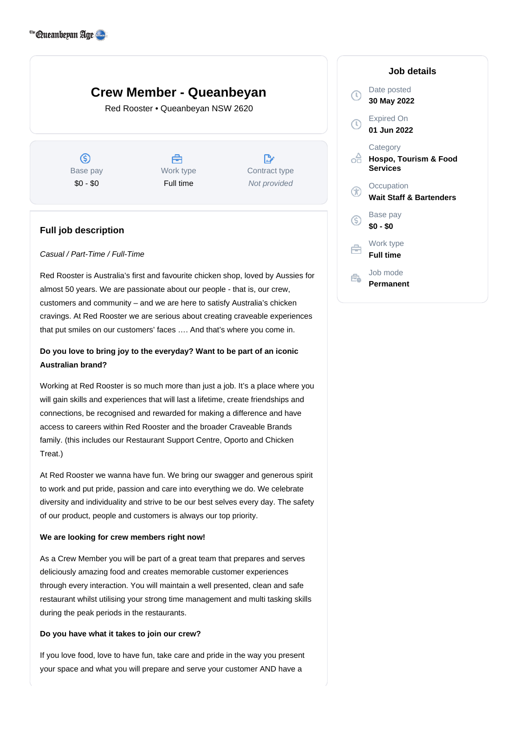

# **Crew Member - Queanbeyan**

Red Rooster • Queanbeyan NSW 2620

 $\circledS$ Base pay \$0 - \$0

Å Work type Full time

 $\mathbb{R}^n$ Contract type Not provided

## **Full job description**

### Casual / Part-Time / Full-Time

Red Rooster is Australia's first and favourite chicken shop, loved by Aussies for almost 50 years. We are passionate about our people - that is, our crew, customers and community – and we are here to satisfy Australia's chicken cravings. At Red Rooster we are serious about creating craveable experiences that put smiles on our customers' faces …. And that's where you come in.

# **Do you love to bring joy to the everyday? Want to be part of an iconic Australian brand?**

Working at Red Rooster is so much more than just a job. It's a place where you will gain skills and experiences that will last a lifetime, create friendships and connections, be recognised and rewarded for making a difference and have access to careers within Red Rooster and the broader Craveable Brands family. (this includes our Restaurant Support Centre, Oporto and Chicken Treat.)

At Red Rooster we wanna have fun. We bring our swagger and generous spirit to work and put pride, passion and care into everything we do. We celebrate diversity and individuality and strive to be our best selves every day. The safety of our product, people and customers is always our top priority.

#### **We are looking for crew members right now!**

As a Crew Member you will be part of a great team that prepares and serves deliciously amazing food and creates memorable customer experiences through every interaction. You will maintain a well presented, clean and safe restaurant whilst utilising your strong time management and multi tasking skills during the peak periods in the restaurants.

#### **Do you have what it takes to join our crew?**

If you love food, love to have fun, take care and pride in the way you present your space and what you will prepare and serve your customer AND have a

### **Job details** Date posted  $\mathcal{L}$ **30 May 2022** Expired On  $\circ$ **01 Jun 2022 Category** o₩. **Hospo, Tourism & Food Services Occupation**  $\circ$ **Wait Staff & Bartenders** Base pay (S) **\$0 - \$0** Work type **Full time** Job mode Ê. **Permanent**